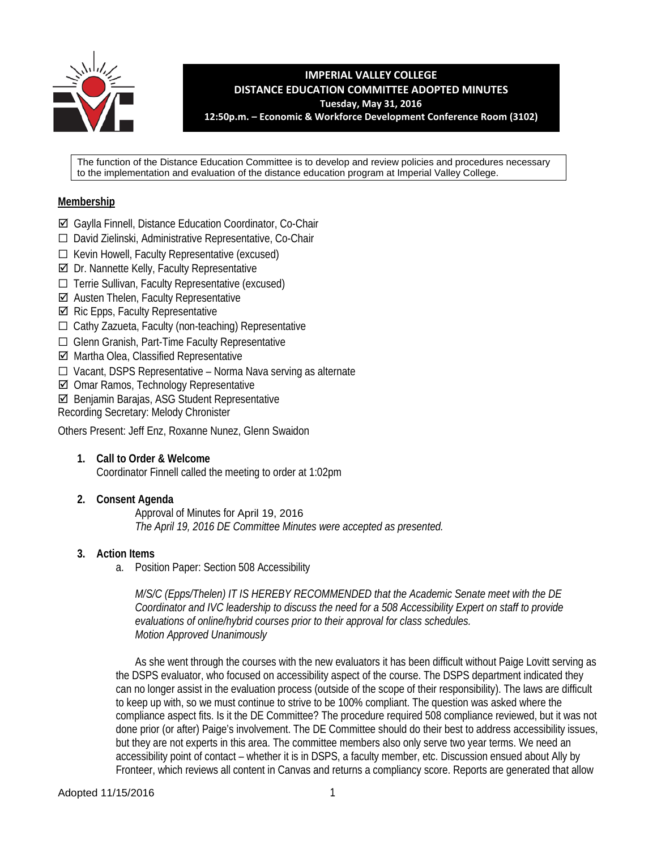

**IMPERIAL VALLEY COLLEGE DISTANCE EDUCATION COMMITTEE ADOPTED MINUTES Tuesday, May 31, 2016 12:50p.m. – Economic & Workforce Development Conference Room (3102)**

The function of the Distance Education Committee is to develop and review policies and procedures necessary to the implementation and evaluation of the distance education program at Imperial Valley College.

### **Membership**

- Gaylla Finnell, Distance Education Coordinator, Co-Chair
- ☐ David Zielinski, Administrative Representative, Co-Chair
- ☐ Kevin Howell, Faculty Representative (excused)
- $\boxtimes$  Dr. Nannette Kelly, Faculty Representative
- ☐ Terrie Sullivan, Faculty Representative (excused)
- $\boxtimes$  Austen Thelen, Faculty Representative
- $\boxtimes$  Ric Epps, Faculty Representative
- ☐ Cathy Zazueta, Faculty (non-teaching) Representative
- ☐ Glenn Granish, Part-Time Faculty Representative
- $\boxtimes$  Martha Olea, Classified Representative
- ☐ Vacant, DSPS Representative Norma Nava serving as alternate
- Omar Ramos, Technology Representative
- Benjamin Barajas, ASG Student Representative
- Recording Secretary: Melody Chronister

Others Present: Jeff Enz, Roxanne Nunez, Glenn Swaidon

# **1. Call to Order & Welcome**

Coordinator Finnell called the meeting to order at 1:02pm

### **2. Consent Agenda**

Approval of Minutes for April 19, 2016 *The April 19, 2016 DE Committee Minutes were accepted as presented.* 

### **3. Action Items**

a. Position Paper: Section 508 Accessibility

*M/S/C (Epps/Thelen) IT IS HEREBY RECOMMENDED that the Academic Senate meet with the DE Coordinator and IVC leadership to discuss the need for a 508 Accessibility Expert on staff to provide evaluations of online/hybrid courses prior to their approval for class schedules. Motion Approved Unanimously*

As she went through the courses with the new evaluators it has been difficult without Paige Lovitt serving as the DSPS evaluator, who focused on accessibility aspect of the course. The DSPS department indicated they can no longer assist in the evaluation process (outside of the scope of their responsibility). The laws are difficult to keep up with, so we must continue to strive to be 100% compliant. The question was asked where the compliance aspect fits. Is it the DE Committee? The procedure required 508 compliance reviewed, but it was not done prior (or after) Paige's involvement. The DE Committee should do their best to address accessibility issues, but they are not experts in this area. The committee members also only serve two year terms. We need an accessibility point of contact – whether it is in DSPS, a faculty member, etc. Discussion ensued about Ally by Fronteer, which reviews all content in Canvas and returns a compliancy score. Reports are generated that allow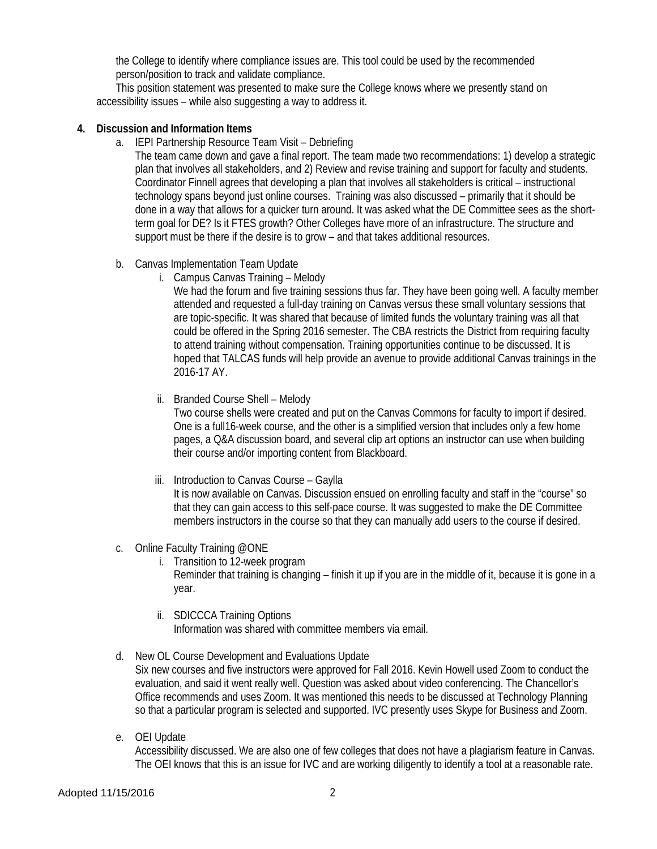the College to identify where compliance issues are. This tool could be used by the recommended person/position to track and validate compliance.

This position statement was presented to make sure the College knows where we presently stand on accessibility issues – while also suggesting a way to address it.

#### **4. Discussion and Information Items**

- a. IEPI Partnership Resource Team Visit Debriefing
	- The team came down and gave a final report. The team made two recommendations: 1) develop a strategic plan that involves all stakeholders, and 2) Review and revise training and support for faculty and students. Coordinator Finnell agrees that developing a plan that involves all stakeholders is critical – instructional technology spans beyond just online courses. Training was also discussed – primarily that it should be done in a way that allows for a quicker turn around. It was asked what the DE Committee sees as the shortterm goal for DE? Is it FTES growth? Other Colleges have more of an infrastructure. The structure and support must be there if the desire is to grow – and that takes additional resources.
- b. Canvas Implementation Team Update
	- i. Campus Canvas Training Melody

We had the forum and five training sessions thus far. They have been going well. A faculty member attended and requested a full-day training on Canvas versus these small voluntary sessions that are topic-specific. It was shared that because of limited funds the voluntary training was all that could be offered in the Spring 2016 semester. The CBA restricts the District from requiring faculty to attend training without compensation. Training opportunities continue to be discussed. It is hoped that TALCAS funds will help provide an avenue to provide additional Canvas trainings in the 2016-17 AY.

ii. Branded Course Shell – Melody

Two course shells were created and put on the Canvas Commons for faculty to import if desired. One is a full16-week course, and the other is a simplified version that includes only a few home pages, a Q&A discussion board, and several clip art options an instructor can use when building their course and/or importing content from Blackboard.

iii. Introduction to Canvas Course – Gaylla

It is now available on Canvas. Discussion ensued on enrolling faculty and staff in the "course" so that they can gain access to this self-pace course. It was suggested to make the DE Committee members instructors in the course so that they can manually add users to the course if desired.

- c. Online Faculty Training @ONE
	- i. Transition to 12-week program Reminder that training is changing – finish it up if you are in the middle of it, because it is gone in a year.
	- ii. SDICCCA Training Options Information was shared with committee members via email.

# d. New OL Course Development and Evaluations Update

Six new courses and five instructors were approved for Fall 2016. Kevin Howell used Zoom to conduct the evaluation, and said it went really well. Question was asked about video conferencing. The Chancellor's Office recommends and uses Zoom. It was mentioned this needs to be discussed at Technology Planning so that a particular program is selected and supported. IVC presently uses Skype for Business and Zoom.

e. OEI Update

Accessibility discussed. We are also one of few colleges that does not have a plagiarism feature in Canvas. The OEI knows that this is an issue for IVC and are working diligently to identify a tool at a reasonable rate.